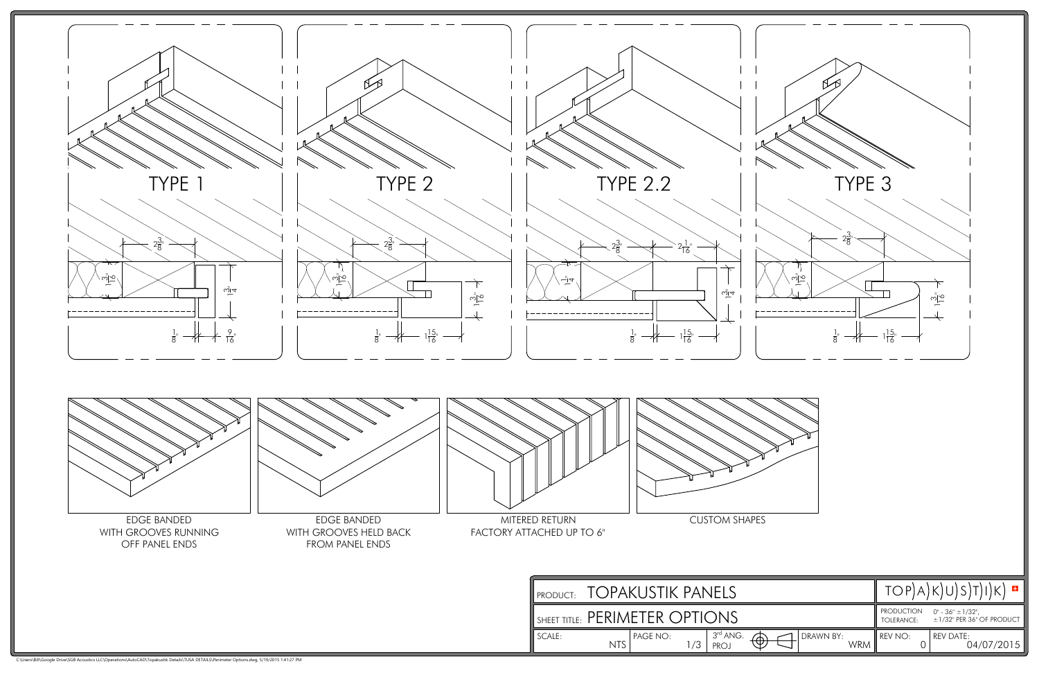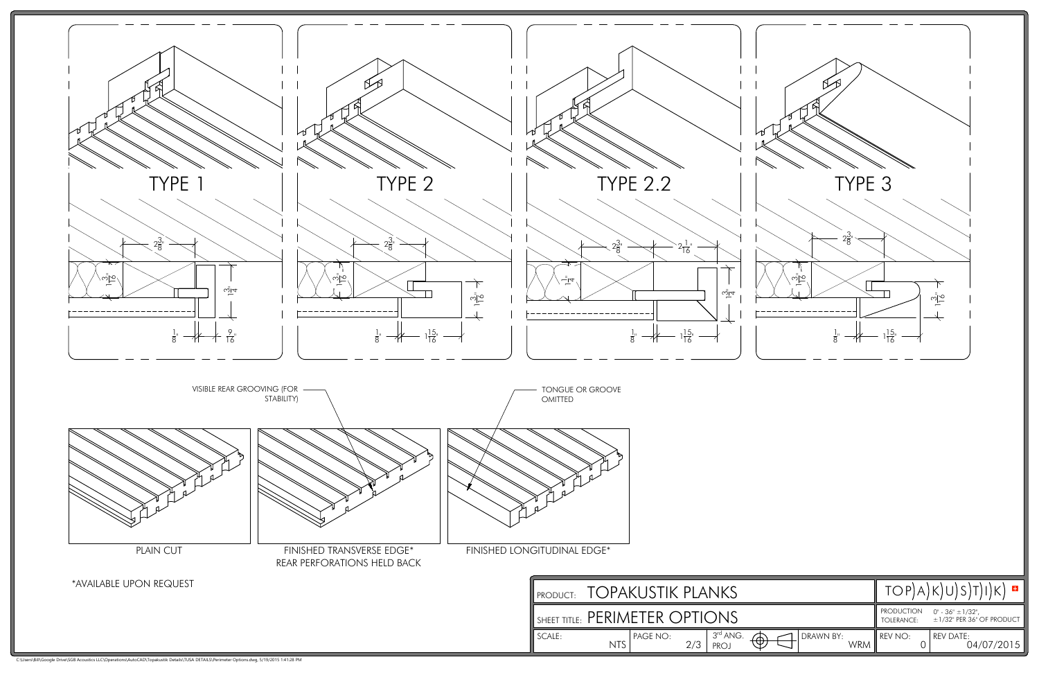